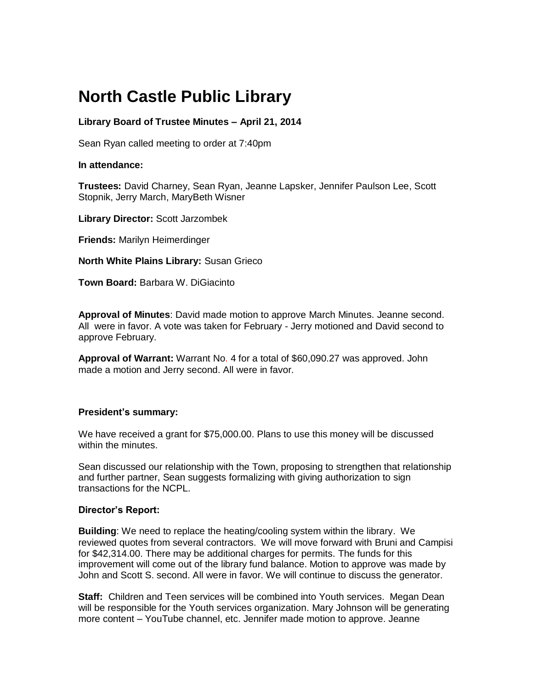# **North Castle Public Library**

## **Library Board of Trustee Minutes – April 21, 2014**

Sean Ryan called meeting to order at 7:40pm

#### **In attendance:**

**Trustees:** David Charney, Sean Ryan, Jeanne Lapsker, Jennifer Paulson Lee, Scott Stopnik, Jerry March, MaryBeth Wisner

**Library Director:** Scott Jarzombek

**Friends:** Marilyn Heimerdinger

**North White Plains Library:** Susan Grieco

**Town Board:** [Barbara W. DiGiacinto](http://www.northcastleny.com/users/bdigiacinto/contact)

**Approval of Minutes**: David made motion to approve March Minutes. Jeanne second. All were in favor. A vote was taken for February - Jerry motioned and David second to approve February.

**Approval of Warrant:** Warrant No. 4 for a total of \$60,090.27 was approved. John made a motion and Jerry second. All were in favor.

## **President's summary:**

We have received a grant for \$75,000.00. Plans to use this money will be discussed within the minutes.

Sean discussed our relationship with the Town, proposing to strengthen that relationship and further partner, Sean suggests formalizing with giving authorization to sign transactions for the NCPL.

#### **Director's Report:**

**Building**: We need to replace the heating/cooling system within the library. We reviewed quotes from several contractors. We will move forward with Bruni and Campisi for \$42,314.00. There may be additional charges for permits. The funds for this improvement will come out of the library fund balance. Motion to approve was made by John and Scott S. second. All were in favor. We will continue to discuss the generator.

**Staff:** Children and Teen services will be combined into Youth services. Megan Dean will be responsible for the Youth services organization. Mary Johnson will be generating more content – YouTube channel, etc. Jennifer made motion to approve. Jeanne